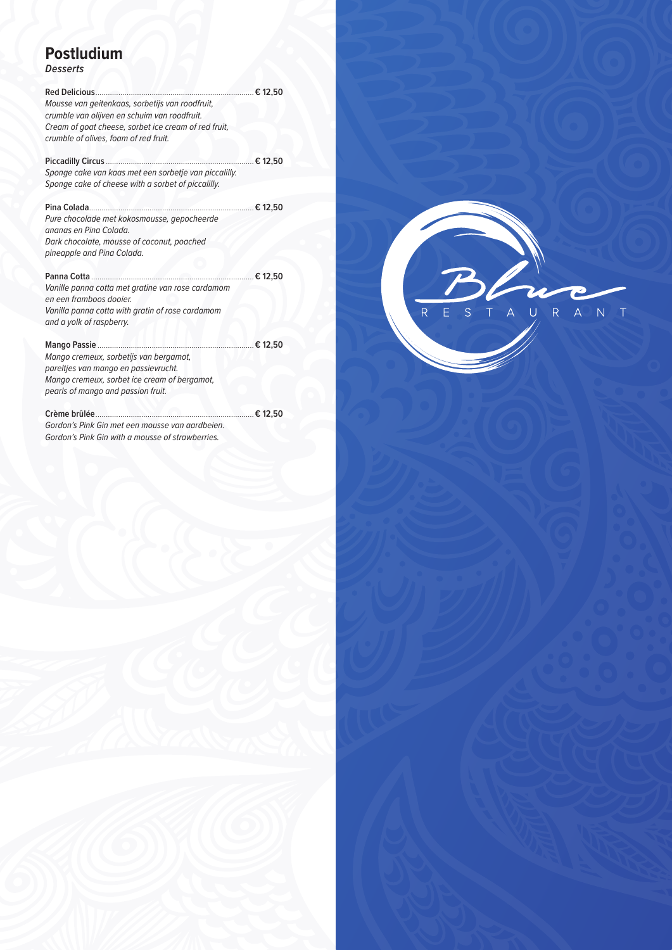## **Postludium**

*Desserts*

| Mousse van geitenkaas, sorbetijs van roodfruit,<br>crumble van olijven en schuim van roodfruit.<br>Cream of goat cheese, sorbet ice cream of red fruit,<br>crumble of olives, foam of red fruit. |              |
|--------------------------------------------------------------------------------------------------------------------------------------------------------------------------------------------------|--------------|
| Sponge cake van kaas met een sorbetje van piccalilly.                                                                                                                                            | ……€ 12,50    |
| Sponge cake of cheese with a sorbet of piccalilly.                                                                                                                                               |              |
| Pina Colada<br>Pure chocolade met kokosmousse, gepocheerde<br>ananas en Pina Colada.<br>Dark chocolate, mousse of coconut, poached<br>pineapple and Pina Colada.                                 | ………… € 12,50 |
| Panna Cotta<br>Vanille panna cotta met gratine van rose cardamom<br>en een framboos dooier.<br>Vanilla panna cotta with gratin of rose cardamom<br>and a yolk of raspberry.                      | € 12,50      |
| <b>Mango Passie</b><br>Mango cremeux, sorbetijs van bergamot,<br>pareltjes van mango en passievrucht.<br>Mango cremeux, sorbet ice cream of bergamot,<br>pearls of mango and passion fruit.      | € 12,50      |
| Crème brûlée.<br>Gordon's Pink Gin met een mousse van aardbeien.<br>Gordon's Pink Gin with a mousse of strawberries.                                                                             |              |